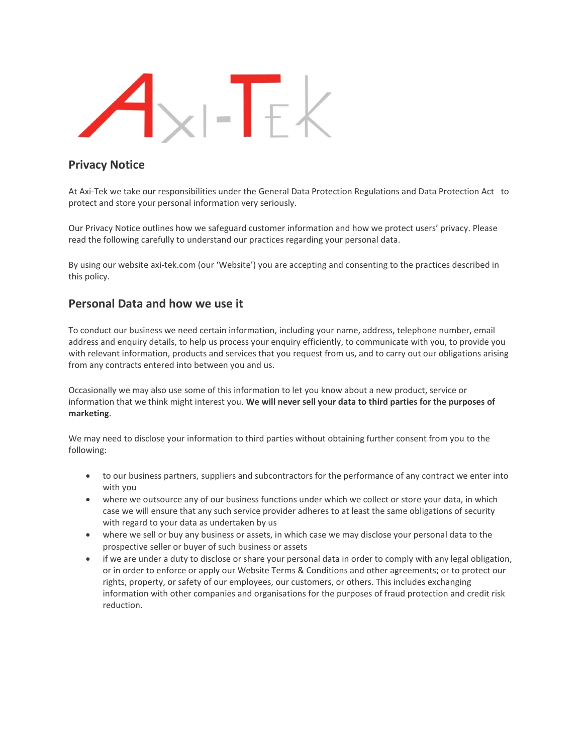

## **Privacy Notice**

At Axi-Tek we take our responsibilities under the General Data Protection Regulations and Data Protection Act to protect and store your personal information very seriously.

Our Privacy Notice outlines how we safeguard customer information and how we protect users' privacy. Please read the following carefully to understand our practices regarding your personal data.

By using our website axi-tek.com (our 'Website') you are accepting and consenting to the practices described in this policy.

### **Personal Data and how we use it**

To conduct our business we need certain information, including your name, address, telephone number, email address and enquiry details, to help us process your enquiry efficiently, to communicate with you, to provide you with relevant information, products and services that you request from us, and to carry out our obligations arising from any contracts entered into between you and us.

Occasionally we may also use some of this information to let you know about a new product, service or information that we think might interest you. **We will never sell your data to third parties for the purposes of marketing**.

We may need to disclose your information to third parties without obtaining further consent from you to the following:

- to our business partners, suppliers and subcontractors for the performance of any contract we enter into with you
- where we outsource any of our business functions under which we collect or store your data, in which case we will ensure that any such service provider adheres to at least the same obligations of security with regard to your data as undertaken by us
- where we sell or buy any business or assets, in which case we may disclose your personal data to the prospective seller or buyer of such business or assets
- if we are under a duty to disclose or share your personal data in order to comply with any legal obligation, or in order to enforce or apply our Website Terms & Conditions and other agreements; or to protect our rights, property, or safety of our employees, our customers, or others. This includes exchanging information with other companies and organisations for the purposes of fraud protection and credit risk reduction.